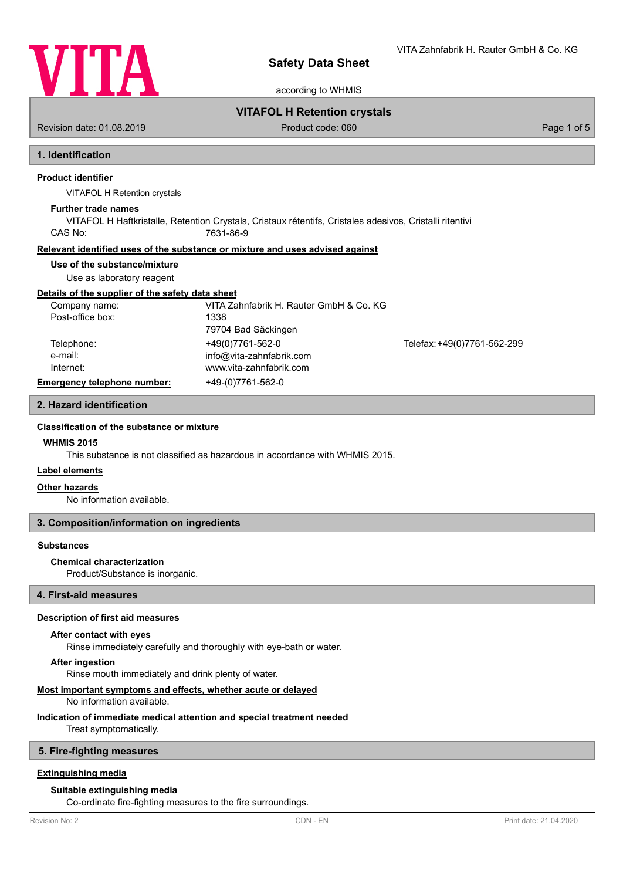

VITA Zahnfabrik H. Rauter GmbH & Co. KG

according to WHMIS

# **VITAFOL H Retention crystals**

Revision date: 01.08.2019 **Product code: 060** Product code: 060 **Page 1 of 5** Page 1 of 5

# **1. Identification**

# **Product identifier**

VITAFOL H Retention crystals

#### **Further trade names**

VITAFOL H Haftkristalle, Retention Crystals, Cristaux rétentifs, Cristales adesivos, Cristalli ritentivi CAS No: 7631-86-9

#### **Relevant identified uses of the substance or mixture and uses advised against**

#### **Use of the substance/mixture**

Use as laboratory reagent

#### **Details of the supplier of the safety data sheet**

| Company name:               | VITA Zahnfabrik H. Rauter GmbH & Co. KG |                             |
|-----------------------------|-----------------------------------------|-----------------------------|
| Post-office box:            | 1338                                    |                             |
|                             | 79704 Bad Säckingen                     |                             |
| Telephone:                  | +49(0)7761-562-0                        | Telefax: +49(0)7761-562-299 |
| e-mail:                     | info@vita-zahnfabrik.com                |                             |
| Internet:                   | www.vita-zahnfabrik.com                 |                             |
| Emergency telephone number: | +49-(0)7761-562-0                       |                             |

### **2. Hazard identification**

#### **Classification of the substance or mixt[ure](http://www.vita-zahnfabrik.com)**

#### **WHMIS 2015**

This substance is not classified as hazardous in accordance with WHMIS 2015.

#### **Label elements**

#### **Other hazards**

No information available.

#### **3. Composition/information on ingredients**

#### **Substances**

#### **Chemical characterization**

Product/Substance is inorganic.

#### **4. First-aid measures**

#### **Description of first aid measures**

# **After contact with eyes**

Rinse immediately carefully and thoroughly with eye-bath or water.

#### **After ingestion**

Rinse mouth immediately and drink plenty of water.

### **Most important symptoms and effects, whether acute or delayed**

No information available.

#### **Indication of immediate medical attention and special treatment needed**

Treat symptomatically.

#### **5. Fire-fighting measures**

### **Extinguishing media**

#### **Suitable extinguishing media**

Co-ordinate fire-fighting measures to the fire surroundings.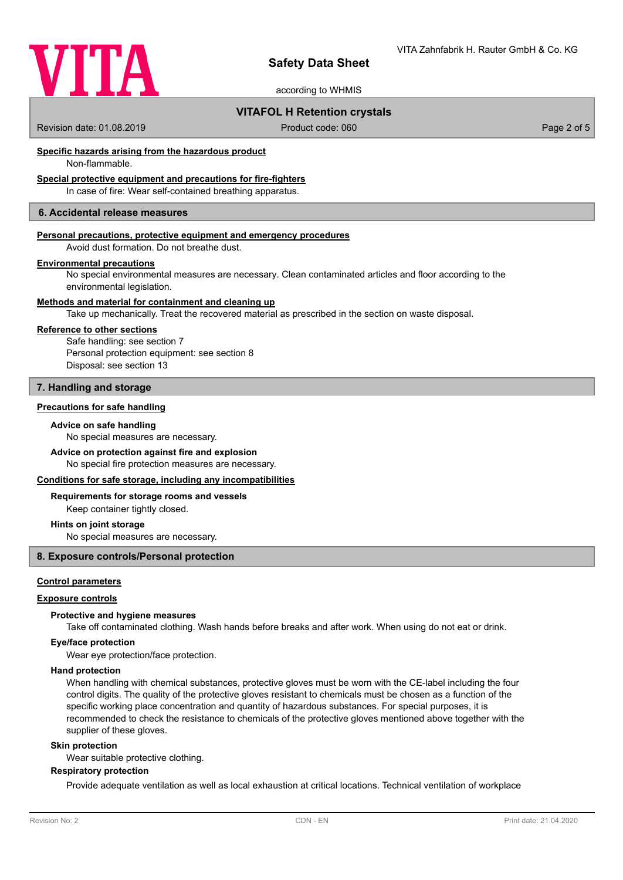

according to WHMIS

# **VITAFOL H Retention crystals**

Revision date: 01.08.2019 **Product code: 060** Product code: 060 **Page 2 of 5** Page 2 of 5

# **Specific hazards arising from the hazardous product**

Non-flammable.

# **Special protective equipment and precautions for fire-fighters**

In case of fire: Wear self-contained breathing apparatus.

# **6. Accidental release measures**

#### **Personal precautions, protective equipment and emergency procedures**

Avoid dust formation. Do not breathe dust.

#### **Environmental precautions**

No special environmental measures are necessary. Clean contaminated articles and floor according to the environmental legislation.

#### **Methods and material for containment and cleaning up**

Take up mechanically. Treat the recovered material as prescribed in the section on waste disposal.

#### **Reference to other sections**

Safe handling: see section 7 Personal protection equipment: see section 8 Disposal: see section 13

# **7. Handling and storage**

# **Precautions for safe handling**

#### **Advice on safe handling**

No special measures are necessary.

# **Advice on protection against fire and explosion**

No special fire protection measures are necessary.

# **Conditions for safe storage, including any incompatibilities**

#### **Requirements for storage rooms and vessels**

Keep container tightly closed.

#### **Hints on joint storage**

No special measures are necessary.

### **8. Exposure controls/Personal protection**

## **Control parameters**

### **Exposure controls**

#### **Protective and hygiene measures**

Take off contaminated clothing. Wash hands before breaks and after work. When using do not eat or drink.

#### **Eye/face protection**

Wear eye protection/face protection.

#### **Hand protection**

When handling with chemical substances, protective gloves must be worn with the CE-label including the four control digits. The quality of the protective gloves resistant to chemicals must be chosen as a function of the specific working place concentration and quantity of hazardous substances. For special purposes, it is recommended to check the resistance to chemicals of the protective gloves mentioned above together with the supplier of these gloves.

#### **Skin protection**

Wear suitable protective clothing.

#### **Respiratory protection**

Provide adequate ventilation as well as local exhaustion at critical locations. Technical ventilation of workplace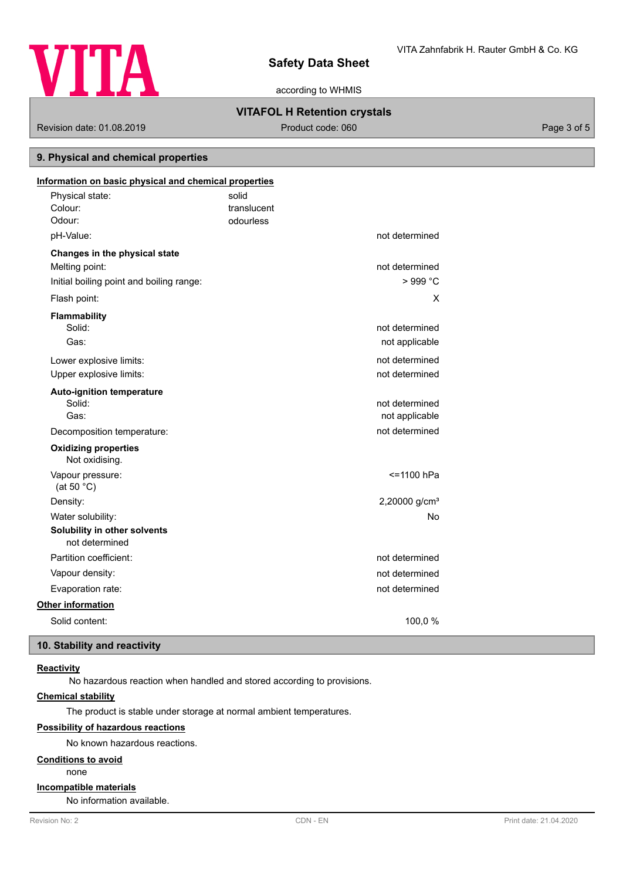

according to WHMIS

# **VITAFOL H Retention crystals**

Revision date: 01.08.2019 **Product code: 060** Product code: 060 **Page 3 of 5** Page 3 of 5

# **9. Physical and chemical properties**

| Information on basic physical and chemical properties |             |                           |
|-------------------------------------------------------|-------------|---------------------------|
| Physical state:                                       | solid       |                           |
| Colour:                                               | translucent |                           |
| Odour:                                                | odourless   |                           |
| pH-Value:                                             |             | not determined            |
| Changes in the physical state                         |             |                           |
| Melting point:                                        |             | not determined            |
| Initial boiling point and boiling range:              |             | > 999 °C                  |
| Flash point:                                          |             | X                         |
| Flammability                                          |             |                           |
| Solid:                                                |             | not determined            |
| Gas:                                                  |             | not applicable            |
| Lower explosive limits:                               |             | not determined            |
| Upper explosive limits:                               |             | not determined            |
| <b>Auto-ignition temperature</b>                      |             |                           |
| Solid:                                                |             | not determined            |
| Gas:                                                  |             | not applicable            |
| Decomposition temperature:                            |             | not determined            |
| <b>Oxidizing properties</b><br>Not oxidising.         |             |                           |
| Vapour pressure:<br>(at 50 $°C$ )                     |             | <=1100 hPa                |
| Density:                                              |             | 2,20000 g/cm <sup>3</sup> |
| Water solubility:                                     |             | No                        |
| Solubility in other solvents<br>not determined        |             |                           |
| Partition coefficient:                                |             | not determined            |
| Vapour density:                                       |             | not determined            |
| Evaporation rate:                                     |             | not determined            |
| <b>Other information</b>                              |             |                           |
| Solid content:                                        |             | 100,0%                    |

# **10. Stability and reactivity**

# **Reactivity**

No hazardous reaction when handled and stored according to provisions.

# **Chemical stability**

The product is stable under storage at normal ambient temperatures.

# **Possibility of hazardous reactions**

No known hazardous reactions.

# **Conditions to avoid**

none

# **Incompatible materials**

No information available.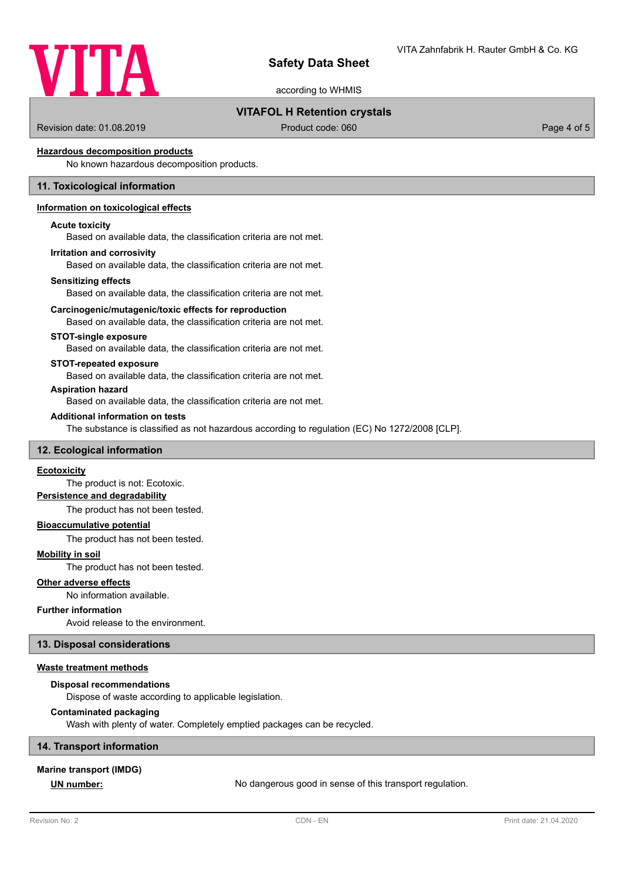

according to WHMIS

# **VITAFOL H Retention crystals**

Revision date: 01.08.2019 **Product code: 060** Product code: 060 **Page 4 of 5** Page 4 of 5

# **Hazardous decomposition products**

No known hazardous decomposition products.

# **11. Toxicological information**

# **Information on toxicological effects**

#### **Acute toxicity**

Based on available data, the classification criteria are not met.

#### **Irritation and corrosivity**

Based on available data, the classification criteria are not met.

#### **Sensitizing effects**

Based on available data, the classification criteria are not met.

#### **Carcinogenic/mutagenic/toxic effects for reproduction**

Based on available data, the classification criteria are not met.

#### **STOT-single exposure**

Based on available data, the classification criteria are not met.

#### **STOT-repeated exposure**

Based on available data, the classification criteria are not met.

#### **Aspiration hazard**

Based on available data, the classification criteria are not met.

#### **Additional information on tests**

The substance is classified as not hazardous according to regulation (EC) No 1272/2008 [CLP].

#### **12. Ecological information**

# **Ecotoxicity**

The product is not: Ecotoxic.

# **Persistence and degradability**

The product has not been tested.

# **Bioaccumulative potential**

The product has not been tested.

## **Mobility in soil**

The product has not been tested.

#### **Other adverse effects**

No information available.

#### **Further information**

Avoid release to the environment.

#### **13. Disposal considerations**

#### **Waste treatment methods**

#### **Disposal recommendations**

Dispose of waste according to applicable legislation.

#### **Contaminated packaging**

Wash with plenty of water. Completely emptied packages can be recycled.

#### **14. Transport information**

#### **Marine transport (IMDG)**

**UN number:** No dangerous good in sense of this transport regulation.